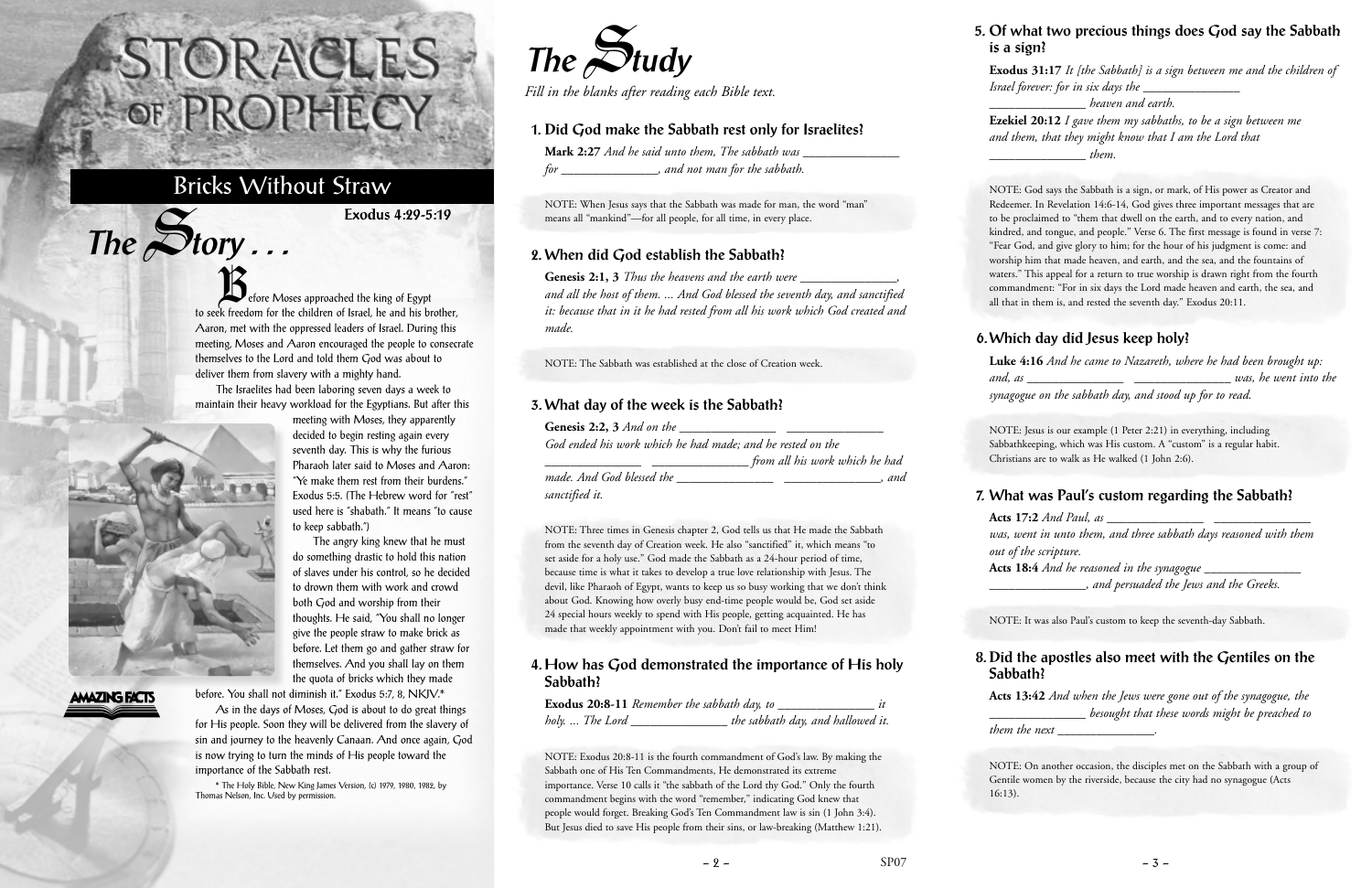efore Moses approached the king of Egypt to seek freedom for the children of Israel, he and his brother, Aaron, met with the oppressed leaders of Israel. During this meeting, Moses and Aaron encouraged the people to consecrate themselves to the Lord and told them God was about to deliver them from slavery with a mighty hand.

The Israelites had been laboring seven days a week to maintain their heavy workload for the Egyptians. But after this meeting with Moses, they apparently

> decided to begin resting again every seventh day. This is why the furious Pharaoh later said to Moses and Aaron: "Ye make them rest from their burdens." Exodus 5:5. (The Hebrew word for "rest" used here is "shabath." It means "to cause

to keep sabbath.")

**Mark 2:27** *And he said unto them, The sabbath was for \_\_\_\_\_\_\_\_\_\_\_\_\_\_\_, and not man for the sabbath.*

The angry king knew that he must do something drastic to hold this nation of slaves under his control, so he decided to drown them with work and crowd both God and worship from their thoughts. He said, "You shall no longer give the people straw to make brick as before. Let them go and gather straw for themselves. And you shall lay on them the quota of bricks which they made



 $The$  $S$ **tory** ...

## **AMAZING FACTS**

before. You shall not diminish it." Exodus 5:7, 8, NKJV.\*

Genesis 2:2, 3 *And on the God ended his work which he had made; and he rested on the \_\_\_\_\_\_\_\_\_\_\_\_\_\_\_ \_\_\_\_\_\_\_\_\_\_\_\_\_\_\_ from all his work which he had*

As in the days of Moses, God is about to do great things for His people. Soon they will be delivered from the slavery of sin and journey to the heavenly Canaan. And once again, God is now trying to turn the minds of His people toward the importance of the Sabbath rest.

\* The Holy Bible, New King James Version, (c) 1979, 1980, 1982, by Thomas Nelson, Inc. Used by permission.

# STORACLES -OF PROPHECY

# Bricks Without Straw

**Exodus 4:29-5:19**



*Fill in the blanks after reading each Bible text.*

#### **1. Did God make the Sabbath rest only for Israelites?**

NOTE: When Jesus says that the Sabbath was made for man, the word "man" means all "mankind"—for all people, for all time, in every place.

#### **2. When did God establish the Sabbath?**

**Genesis 2:1, 3** *Thus the heavens and the earth were \_\_\_\_\_\_\_\_\_\_\_\_\_\_\_, and all the host of them. ... And God blessed the seventh day, and sanctified it: because that in it he had rested from all his work which God created and made.*

NOTE: The Sabbath was established at the close of Creation week.

#### **3. What day of the week is the Sabbath?**

*made. And God blessed the \_\_\_\_\_\_\_\_\_\_\_\_\_\_\_ \_\_\_\_\_\_\_\_\_\_\_\_\_\_\_, and sanctified it.*

NOTE: Three times in Genesis chapter 2, God tells us that He made the Sabbath from the seventh day of Creation week. He also "sanctified" it, which means "to set aside for a holy use." God made the Sabbath as a 24-hour period of time, because time is what it takes to develop a true love relationship with Jesus. The devil, like Pharaoh of Egypt, wants to keep us so busy working that we don't think about God. Knowing how overly busy end-time people would be, God set aside 24 special hours weekly to spend with His people, getting acquainted. He has made that weekly appointment with you. Don't fail to meet Him!

#### **4. How has God demonstrated the importance of His holy Sabbath?**

|                    | Exodus 20:8-11 Remember the sabbath day, to |                                   |
|--------------------|---------------------------------------------|-----------------------------------|
| holy. … The Lord J |                                             | the sabbath day, and hallowed it. |

NOTE: Exodus 20:8-11 is the fourth commandment of God's law. By making the Sabbath one of His Ten Commandments, He demonstrated its extreme importance. Verse 10 calls it "the sabbath of the Lord thy God." Only the fourth commandment begins with the word "remember," indicating God knew that people would forget. Breaking God's Ten Commandment law is sin (1 John 3:4). But Jesus died to save His people from their sins, or law-breaking (Matthew 1:21).

#### **5. Of what two precious things does God say the Sabbath is a sign?**

**Exodus 31:17** *It [the Sabbath] is a sign between me and the children of Israel forever: for in six days the \_\_\_\_\_\_\_\_\_\_\_\_\_\_\_*

*\_\_\_\_\_\_\_\_\_\_\_\_\_\_\_ heaven and earth.* **Ezekiel 20:12** *I gave them my sabbaths, to be a sign between me and them, that they might know that I am the Lord that \_\_\_\_\_\_\_\_\_\_\_\_\_\_\_ them.*

NOTE: God says the Sabbath is a sign, or mark, of His power as Creator and Redeemer. In Revelation 14:6-14, God gives three important messages that are to be proclaimed to "them that dwell on the earth, and to every nation, and kindred, and tongue, and people." Verse 6. The first message is found in verse 7: "Fear God, and give glory to him; for the hour of his judgment is come: and worship him that made heaven, and earth, and the sea, and the fountains of waters." This appeal for a return to true worship is drawn right from the fourth commandment: "For in six days the Lord made heaven and earth, the sea, and all that in them is, and rested the seventh day." Exodus 20:11.

#### **6. Which day did Jesus keep holy?**

**Luke 4:16** *And he came to Nazareth, where he had been brought up: and, as \_\_\_\_\_\_\_\_\_\_\_\_\_\_\_ \_\_\_\_\_\_\_\_\_\_\_\_\_\_\_ was, he went into the synagogue on the sabbath day, and stood up for to read.*

NOTE: Jesus is our example (1 Peter 2:21) in everything, including Sabbathkeeping, which was His custom. A "custom" is a regular habit. Christians are to walk as He walked (1 John 2:6).

#### **7. What was Paul's custom regarding the Sabbath?**

**Acts 17:2** *And Paul, as \_\_\_\_\_\_\_\_\_\_\_\_\_\_\_ \_\_\_\_\_\_\_\_\_\_\_\_\_\_\_ was, went in unto them, and three sabbath days reasoned with them out of the scripture.* **Acts 18:4** *And he reasoned in the synagogue \_\_\_\_\_\_\_\_\_\_\_\_\_\_\_*

*\_\_\_\_\_\_\_\_\_\_\_\_\_\_\_, and persuaded the Jews and the Greeks.*

NOTE: It was also Paul's custom to keep the seventh-day Sabbath.

## **8. Did the apostles also meet with the Gentiles on the Sabbath?**

**Acts 13:42** *And when the Jews were gone out of the synagogue, the \_\_\_\_\_\_\_\_\_\_\_\_\_\_\_ besought that these words might be preached to* 

*them the next \_\_\_\_\_\_\_\_\_\_\_\_\_\_\_.*

NOTE: On another occasion, the disciples met on the Sabbath with a group of Gentile women by the riverside, because the city had no synagogue (Acts 16:13).